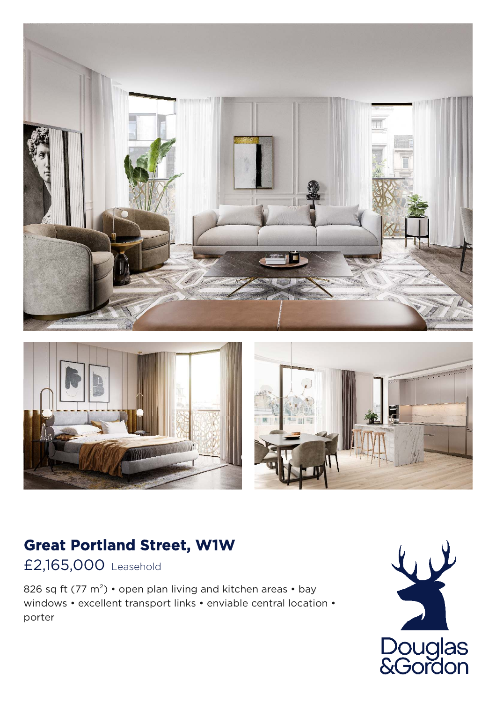



## **Great Portland Street, W1W**

£2,165,000 Leasehold

826 sq ft (77 m<sup>2</sup>) • open plan living and kitchen areas • bay windows • excellent transport links • enviable central location • porter